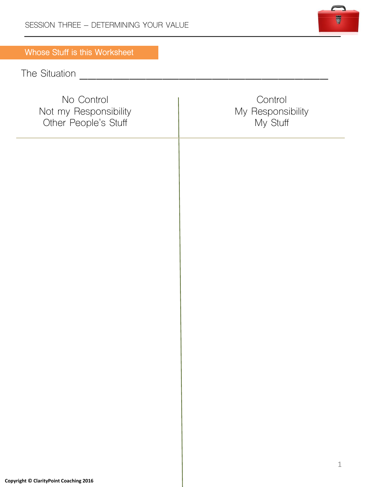

## **Whose Stuff is this Worksheet**

# The Situation \_\_\_\_\_\_\_\_\_\_\_\_\_\_\_\_\_\_\_\_\_\_\_\_\_\_\_\_\_\_

| No Control<br>Not my Responsibility<br>Other People's Stuff | Control<br>My Responsibility<br>My Stuff |
|-------------------------------------------------------------|------------------------------------------|
|                                                             |                                          |
|                                                             |                                          |
|                                                             |                                          |
|                                                             |                                          |
|                                                             |                                          |
|                                                             |                                          |
|                                                             | $\,1$                                    |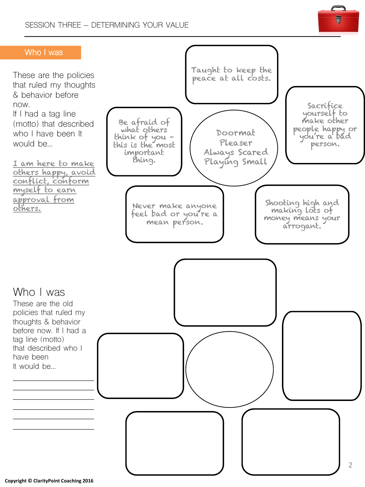

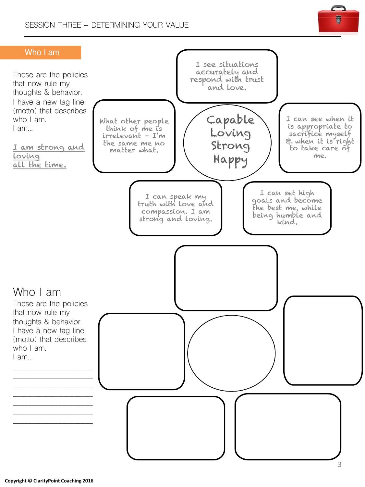

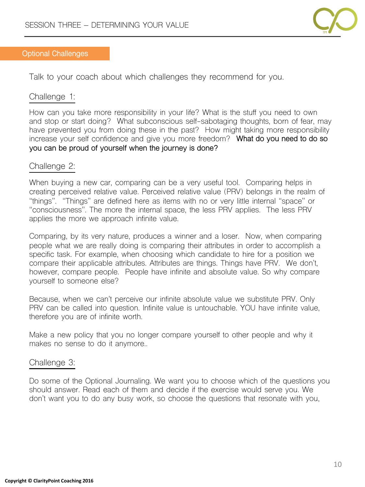

#### **Optional Challenges**

Talk to your coach about which challenges they recommend for you.

#### Challenge 1:

How can you take more responsibility in your life? What is the stuff you need to own and stop or start doing? What subconscious self-sabotaging thoughts, born of fear, may have prevented you from doing these in the past? How might taking more responsibility increase your self confidence and give you more freedom? **What do you need to do so you can be proud of yourself when the journey is done?**

#### Challenge 2:

When buying a new car, comparing can be a very useful tool. Comparing helps in creating perceived relative value. Perceived relative value (PRV) belongs in the realm of "things". "Things" are defined here as items with no or very little internal "space" or "consciousness". The more the internal space, the less PRV applies. The less PRV applies the more we approach infinite value.

Comparing, by its very nature, produces a winner and a loser. Now, when comparing people what we are really doing is comparing their attributes in order to accomplish a specific task. For example, when choosing which candidate to hire for a position we compare their applicable attributes. Attributes are things. Things have PRV. We don't, however, compare people. People have infinite and absolute value. So why compare yourself to someone else?

Because, when we can't perceive our infinite absolute value we substitute PRV. Only PRV can be called into question. Infinite value is untouchable. YOU have infinite value, therefore you are of infinite worth.

Make a new policy that you no longer compare yourself to other people and why it makes no sense to do it anymore..

#### Challenge 3:

Do some of the Optional Journaling. We want you to choose which of the questions you should answer. Read each of them and decide if the exercise would serve you. We don't want you to do any busy work, so choose the questions that resonate with you,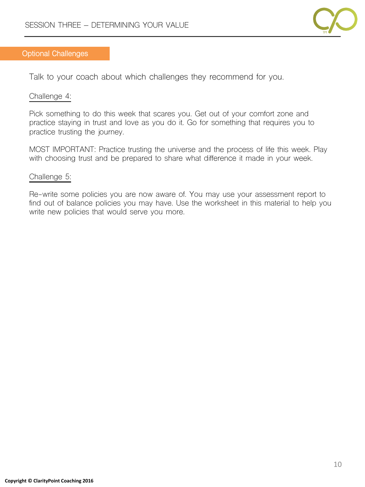

#### **Optional Challenges**

Talk to your coach about which challenges they recommend for you.

#### Challenge 4:

Pick something to do this week that scares you. Get out of your comfort zone and practice staying in trust and love as you do it. Go for something that requires you to practice trusting the journey.

MOST IMPORTANT: Practice trusting the universe and the process of life this week. Play with choosing trust and be prepared to share what difference it made in your week.

#### Challenge 5:

Re-write some policies you are now aware of. You may use your assessment report to find out of balance policies you may have. Use the worksheet in this material to help you write new policies that would serve you more.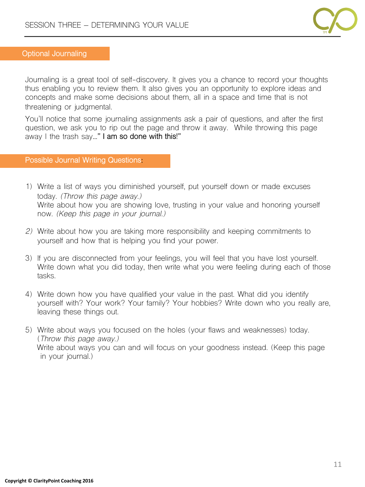

#### **Optional Journaling**

Journaling is a great tool of self-discovery. It gives you a chance to record your thoughts thus enabling you to review them. It also gives you an opportunity to explore ideas and concepts and make some decisions about them, all in a space and time that is not threatening or judgmental.

You'll notice that some journaling assignments ask a pair of questions, and after the first question, we ask you to rip out the page and throw it away. While throwing this page away I the trash say**…" I am so done with this!"**

#### **Possible Journal Writing Questions:**

- 1) Write a list of ways you diminished yourself, put yourself down or made excuses today. *(Throw this page away.)* Write about how you are showing love, trusting in your value and honoring yourself now. *(Keep this page in your journal.)*
- *2)* Write about how you are taking more responsibility and keeping commitments to yourself and how that is helping you find your power.
- 3) If you are disconnected from your feelings, you will feel that you have lost yourself. Write down what you did today, then write what you were feeling during each of those tasks.
- 4) Write down how you have qualified your value in the past. What did you identify yourself with? Your work? Your family? Your hobbies? Write down who you really are, leaving these things out.
- 5) Write about ways you focused on the holes (your flaws and weaknesses) today. (*Throw this page away.)* Write about ways you can and will focus on your goodness instead. (Keep this page in your journal.)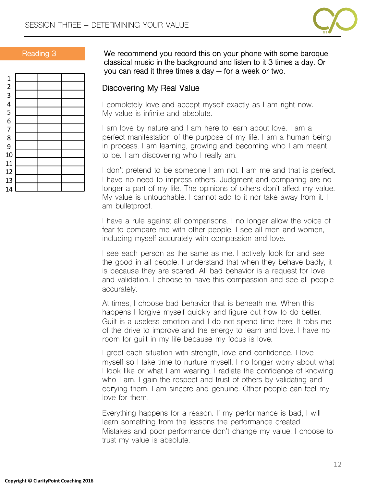



**Reading 3 We recommend you record this on your phone with some baroque classical music in the background and listen to it 3 times a day. Or you can read it three times a day – for a week or two.**

### **Discovering My Real Value**

I completely love and accept myself exactly as I am right now. My value is infinite and absolute.

I am love by nature and I am here to learn about love. I am a perfect manifestation of the purpose of my life. I am a human being in process. I am learning, growing and becoming who I am meant to be. I am discovering who I really am.

I don't pretend to be someone I am not. I am me and that is perfect. I have no need to impress others. Judgment and comparing are no longer a part of my life. The opinions of others don't affect my value. My value is untouchable. I cannot add to it nor take away from it. I am bulletproof.

I have a rule against all comparisons. I no longer allow the voice of fear to compare me with other people. I see all men and women, including myself accurately with compassion and love.

I see each person as the same as me. I actively look for and see the good in all people. I understand that when they behave badly, it is because they are scared. All bad behavior is a request for love and validation. I choose to have this compassion and see all people accurately.

At times, I choose bad behavior that is beneath me. When this happens I forgive myself quickly and figure out how to do better. Guilt is a useless emotion and I do not spend time here. It robs me of the drive to improve and the energy to learn and love. I have no room for guilt in my life because my focus is love.

I greet each situation with strength, love and confidence. I love myself so I take time to nurture myself. I no longer worry about what I look like or what I am wearing. I radiate the confidence of knowing who I am. I gain the respect and trust of others by validating and edifying them. I am sincere and genuine. Other people can feel my love for them.

Everything happens for a reason. If my performance is bad, I will learn something from the lessons the performance created. Mistakes and poor performance don't change my value. I choose to trust my value is absolute.